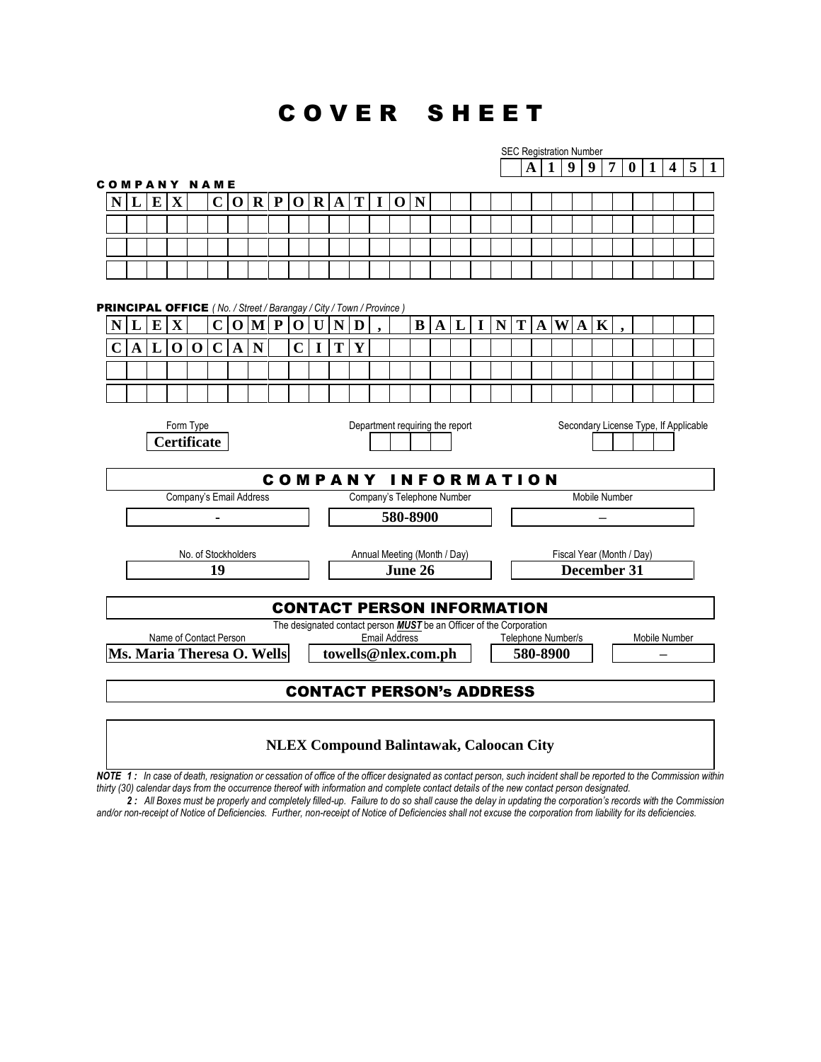## C O V E R S H E E T

|                            |              |                     |              |                         |             |              |             |                              |                                                                            |                          |             |             |          | <b>SEC Registration Number</b>  |   |       |  |                                                                                                                                                                                                                                                                                                                                                                                                   |  |  |  |  |  |  |  |  |   |                         |   |
|----------------------------|--------------|---------------------|--------------|-------------------------|-------------|--------------|-------------|------------------------------|----------------------------------------------------------------------------|--------------------------|-------------|-------------|----------|---------------------------------|---|-------|--|---------------------------------------------------------------------------------------------------------------------------------------------------------------------------------------------------------------------------------------------------------------------------------------------------------------------------------------------------------------------------------------------------|--|--|--|--|--|--|--|--|---|-------------------------|---|
|                            |              |                     |              |                         |             |              |             |                              |                                                                            |                          |             |             |          |                                 |   |       |  |                                                                                                                                                                                                                                                                                                                                                                                                   |  |  |  |  |  |  |  |  | 1 | $\overline{\mathbf{4}}$ | 5 |
|                            |              | <b>COMPANY NAME</b> |              |                         |             |              |             |                              |                                                                            |                          |             |             |          |                                 |   |       |  |                                                                                                                                                                                                                                                                                                                                                                                                   |  |  |  |  |  |  |  |  |   |                         |   |
|                            | $N$ L        | E                   | $\mathbf{X}$ |                         | $\mathbf C$ | $\Omega$     | $\bf{R}$    | $\mathbf{P}$                 | 0                                                                          | $\vert \mathbf{R} \vert$ | $\mathbf A$ | T           | $\bf{I}$ | $\mathbf 0$                     | N |       |  |                                                                                                                                                                                                                                                                                                                                                                                                   |  |  |  |  |  |  |  |  |   |                         |   |
|                            |              |                     |              |                         |             |              |             |                              |                                                                            |                          |             |             |          |                                 |   |       |  |                                                                                                                                                                                                                                                                                                                                                                                                   |  |  |  |  |  |  |  |  |   |                         |   |
|                            |              |                     |              |                         |             |              |             |                              |                                                                            |                          |             |             |          |                                 |   |       |  | 9<br>9<br>$\overline{7}$<br>$\mathbf{1}$<br>$\bf{0}$<br>A<br>T   A   W   A  <br>N<br>K<br>$\bf{I}$<br>Department requiring the report<br>Secondary License Type, If Applicable<br><b>COMPANY INFORMATION</b><br>Mobile Number<br>December 31<br><b>CONTACT PERSON INFORMATION</b><br>The designated contact person <b>MUST</b> be an Officer of the Corporation<br>Telephone Number/s<br>580-8900 |  |  |  |  |  |  |  |  |   |                         |   |
|                            |              |                     |              |                         |             |              |             |                              |                                                                            |                          |             |             |          |                                 |   |       |  |                                                                                                                                                                                                                                                                                                                                                                                                   |  |  |  |  |  |  |  |  |   |                         |   |
|                            |              |                     |              |                         |             |              |             |                              |                                                                            |                          |             |             |          |                                 |   |       |  |                                                                                                                                                                                                                                                                                                                                                                                                   |  |  |  |  |  |  |  |  |   |                         |   |
|                            |              |                     |              |                         |             |              |             |                              |                                                                            |                          |             |             |          |                                 |   |       |  |                                                                                                                                                                                                                                                                                                                                                                                                   |  |  |  |  |  |  |  |  |   |                         |   |
|                            |              |                     |              |                         |             |              |             |                              | <b>PRINCIPAL OFFICE</b> (No. / Street / Barangay / City / Town / Province) |                          |             |             |          |                                 |   |       |  |                                                                                                                                                                                                                                                                                                                                                                                                   |  |  |  |  |  |  |  |  |   |                         |   |
| N                          | L            | E                   | $\mathbf{X}$ |                         | $\mathbf C$ | $\mathbf{O}$ |             | $M$ $P$                      | $\mathbf 0$                                                                | $\mathbf{U}$             | $\mathbf N$ | $\mathbf D$ |          |                                 |   | B A L |  |                                                                                                                                                                                                                                                                                                                                                                                                   |  |  |  |  |  |  |  |  |   |                         |   |
| $\mathbf C$                | $\mathbf{A}$ | L                   | $\mathbf{O}$ | $\mathbf 0$             | $\mathbf C$ | $\mathbf{A}$ | $\mathbf N$ |                              | $\overline{C}$                                                             | $\mathbf I$              | T           | Y           |          |                                 |   |       |  |                                                                                                                                                                                                                                                                                                                                                                                                   |  |  |  |  |  |  |  |  |   |                         |   |
|                            |              |                     |              |                         |             |              |             |                              |                                                                            |                          |             |             |          |                                 |   |       |  |                                                                                                                                                                                                                                                                                                                                                                                                   |  |  |  |  |  |  |  |  |   |                         |   |
|                            |              |                     |              |                         |             |              |             |                              |                                                                            |                          |             |             |          |                                 |   |       |  |                                                                                                                                                                                                                                                                                                                                                                                                   |  |  |  |  |  |  |  |  |   |                         |   |
|                            |              |                     |              | Company's Email Address |             |              |             |                              |                                                                            |                          |             |             |          | Company's Telephone Number      |   |       |  |                                                                                                                                                                                                                                                                                                                                                                                                   |  |  |  |  |  |  |  |  |   |                         |   |
|                            |              |                     |              |                         |             |              |             | 580-8900                     |                                                                            |                          |             |             |          |                                 |   |       |  |                                                                                                                                                                                                                                                                                                                                                                                                   |  |  |  |  |  |  |  |  |   |                         |   |
| No. of Stockholders        |              |                     |              |                         |             |              |             | Annual Meeting (Month / Day) |                                                                            |                          |             |             |          |                                 |   |       |  | Fiscal Year (Month / Day)                                                                                                                                                                                                                                                                                                                                                                         |  |  |  |  |  |  |  |  |   |                         |   |
| 19                         |              |                     |              |                         |             |              |             |                              | June 26                                                                    |                          |             |             |          |                                 |   |       |  |                                                                                                                                                                                                                                                                                                                                                                                                   |  |  |  |  |  |  |  |  |   |                         |   |
|                            |              |                     |              |                         |             |              |             |                              |                                                                            |                          |             |             |          |                                 |   |       |  |                                                                                                                                                                                                                                                                                                                                                                                                   |  |  |  |  |  |  |  |  |   |                         |   |
|                            |              |                     |              | Name of Contact Person  |             |              |             |                              |                                                                            |                          |             |             |          | Email Address                   |   |       |  |                                                                                                                                                                                                                                                                                                                                                                                                   |  |  |  |  |  |  |  |  |   | Mobile Number           |   |
| Ms. Maria Theresa O. Wells |              |                     |              |                         |             |              |             |                              | towells@nlex.com.ph                                                        |                          |             |             |          |                                 |   |       |  |                                                                                                                                                                                                                                                                                                                                                                                                   |  |  |  |  |  |  |  |  |   |                         |   |
|                            |              |                     |              |                         |             |              |             |                              |                                                                            |                          |             |             |          |                                 |   |       |  |                                                                                                                                                                                                                                                                                                                                                                                                   |  |  |  |  |  |  |  |  |   |                         |   |
|                            |              |                     |              |                         |             |              |             |                              |                                                                            |                          |             |             |          | <b>CONTACT PERSON's ADDRESS</b> |   |       |  |                                                                                                                                                                                                                                                                                                                                                                                                   |  |  |  |  |  |  |  |  |   |                         |   |

**NLEX Compound Balintawak, Caloocan City**

*NOTE 1 : In case of death, resignation or cessation of office of the officer designated as contact person, such incident shall be reported to the Commission within thirty (30) calendar days from the occurrence thereof with information and complete contact details of the new contact person designated.*

*2 : All Boxes must be properly and completely filled-up. Failure to do so shall cause the delay in updating the corporation's records with the Commission and/or non-receipt of Notice of Deficiencies. Further, non-receipt of Notice of Deficiencies shall not excuse the corporation from liability for its deficiencies.*